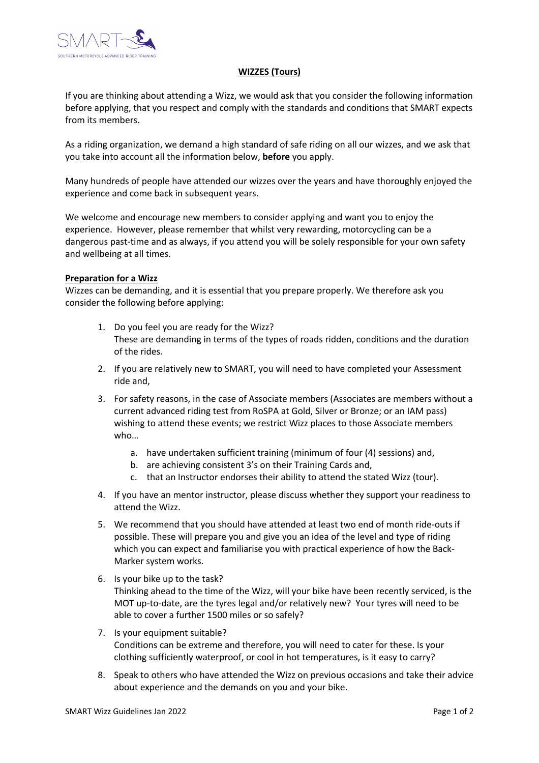

## **WIZZES (Tours)**

If you are thinking about attending a Wizz, we would ask that you consider the following information before applying, that you respect and comply with the standards and conditions that SMART expects from its members.

As a riding organization, we demand a high standard of safe riding on all our wizzes, and we ask that you take into account all the information below, **before** you apply.

Many hundreds of people have attended our wizzes over the years and have thoroughly enjoyed the experience and come back in subsequent years.

We welcome and encourage new members to consider applying and want you to enjoy the experience. However, please remember that whilst very rewarding, motorcycling can be a dangerous past-time and as always, if you attend you will be solely responsible for your own safety and wellbeing at all times.

## **Preparation for a Wizz**

Wizzes can be demanding, and it is essential that you prepare properly. We therefore ask you consider the following before applying:

- 1. Do you feel you are ready for the Wizz? These are demanding in terms of the types of roads ridden, conditions and the duration of the rides.
- 2. If you are relatively new to SMART, you will need to have completed your Assessment ride and,
- 3. For safety reasons, in the case of Associate members (Associates are members without a current advanced riding test from RoSPA at Gold, Silver or Bronze; or an IAM pass) wishing to attend these events; we restrict Wizz places to those Associate members who…
	- a. have undertaken sufficient training (minimum of four (4) sessions) and,
	- b. are achieving consistent 3's on their Training Cards and,
	- c. that an Instructor endorses their ability to attend the stated Wizz (tour).
- 4. If you have an mentor instructor, please discuss whether they support your readiness to attend the Wizz.
- 5. We recommend that you should have attended at least two end of month ride-outs if possible. These will prepare you and give you an idea of the level and type of riding which you can expect and familiarise you with practical experience of how the Back-Marker system works.
- 6. Is your bike up to the task? Thinking ahead to the time of the Wizz, will your bike have been recently serviced, is the MOT up-to-date, are the tyres legal and/or relatively new? Your tyres will need to be able to cover a further 1500 miles or so safely?
- 7. Is your equipment suitable? Conditions can be extreme and therefore, you will need to cater for these. Is your clothing sufficiently waterproof, or cool in hot temperatures, is it easy to carry?
- 8. Speak to others who have attended the Wizz on previous occasions and take their advice about experience and the demands on you and your bike.